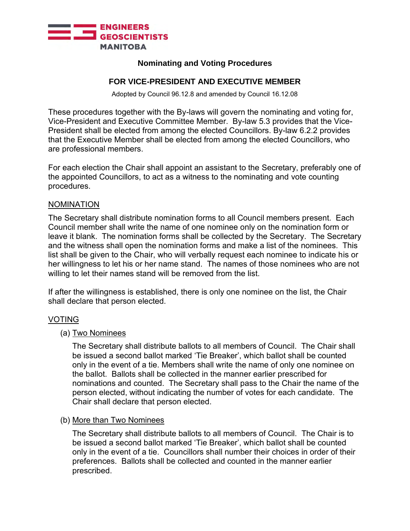

# **Nominating and Voting Procedures**

# **FOR VICE-PRESIDENT AND EXECUTIVE MEMBER**

Adopted by Council 96.12.8 and amended by Council 16.12.08

These procedures together with the By-laws will govern the nominating and voting for, Vice-President and Executive Committee Member. By-law 5.3 provides that the Vice-President shall be elected from among the elected Councillors. By-law 6.2.2 provides that the Executive Member shall be elected from among the elected Councillors, who are professional members.

For each election the Chair shall appoint an assistant to the Secretary, preferably one of the appointed Councillors, to act as a witness to the nominating and vote counting procedures.

### NOMINATION

The Secretary shall distribute nomination forms to all Council members present. Each Council member shall write the name of one nominee only on the nomination form or leave it blank. The nomination forms shall be collected by the Secretary. The Secretary and the witness shall open the nomination forms and make a list of the nominees. This list shall be given to the Chair, who will verbally request each nominee to indicate his or her willingness to let his or her name stand. The names of those nominees who are not willing to let their names stand will be removed from the list.

If after the willingness is established, there is only one nominee on the list, the Chair shall declare that person elected.

### VOTING

# (a) Two Nominees

The Secretary shall distribute ballots to all members of Council. The Chair shall be issued a second ballot marked 'Tie Breaker', which ballot shall be counted only in the event of a tie. Members shall write the name of only one nominee on the ballot. Ballots shall be collected in the manner earlier prescribed for nominations and counted. The Secretary shall pass to the Chair the name of the person elected, without indicating the number of votes for each candidate. The Chair shall declare that person elected.

#### (b) More than Two Nominees

The Secretary shall distribute ballots to all members of Council. The Chair is to be issued a second ballot marked 'Tie Breaker', which ballot shall be counted only in the event of a tie. Councillors shall number their choices in order of their preferences. Ballots shall be collected and counted in the manner earlier prescribed.